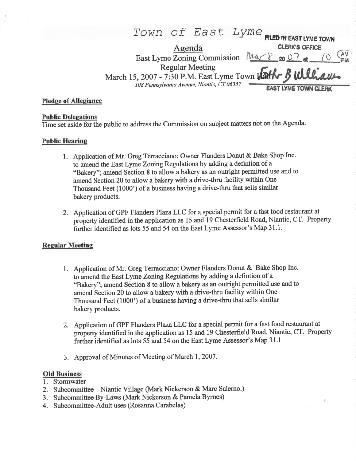# TOWN Of East Lyme FILED IN EAST LYME TOWN Agenda **CLERK's OFFICE** East Lyme Zoning Commission  $M4\rightarrow\$  20 0 at  $\sqrt{Q}$ Regular Meeting March L5,2007 - 7:30 P.M. East Lyme Town 108 Pennsylvania Avenue, Niantic, CT 06357 **EAST LYME TOWN CLERK** ,&l',u|tth&-

### Pledqe of Alleeiance

### **Public Delegations**

Time set aside for the public to address the Commission on subject matters not on the Agenda.

## **Public Hearing**

- 1. Application of Mr. Greg Terracciano: Owner Flanders Donut & Bake Shop Inc. to amend the East Lyme Zoning Regulations by adding a defintion of a "Bakery"; amend Section 8 to allow a bakery as an outright permitted use and to amend Section 20 to allow a bakery with a drive-thru facility within One Thousand Feet (1000') of a business having a drive-thru that sells similar bakery products.
- 2. Application of GPF Flanders Plaza LLC for a special permit for a fast food restaurant at property identified in the application as 15 and 19 Chesterfield Road, Niantic, CT. Property further identified as lots 55 and 54 on the East Lyme Assessor's Map 31.1.

## Reqular Meeting

- 1. Application of Mr. Greg Terracciano: Owner Flanders Donut & Bake Shop Inc. to amend the East Lyme Zoning Regulations by adding a defintion of a "Bakery"; amend Section 8 to allow a bakery as an outright permitted use and to amend Section 20 to allow a bakery with a drive-thru facility within One Thousand Feet (1000') of a business having a drive-thru that sells similar bakery products.
- 2. Application of GPF Flanders PlazaLLC for a special permit for a fast food restaurant at property identified in the application as 15 and 19 Chesterfield Road, Niantic, CT. Property further identified as lots 55 and 54 on the East Lyme Assessor's Map 31.1
- 3. Approval of Minutes of Meeting of March 1,2007.

#### Old Business

- Stormwater 1.
- 2. Subcommittee Niantic Village (Mark Nickerson & Marc Salerno.)
- 3. Subcommittee By-Laws (Mark Nickerson & Pamela Byrnes)
- 4. Subcommittee-Adult uses (Rosanna Carabelas)